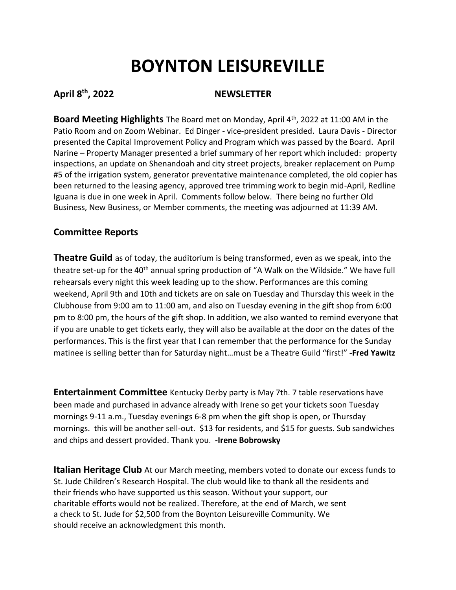# **BOYNTON LEISUREVILLE**

# **April 8th, 2022 NEWSLETTER**

**Board Meeting Highlights** The Board met on Monday, April 4th, 2022 at 11:00 AM in the Patio Room and on Zoom Webinar. Ed Dinger - vice-president presided. Laura Davis - Director presented the Capital Improvement Policy and Program which was passed by the Board. April Narine – Property Manager presented a brief summary of her report which included: property inspections, an update on Shenandoah and city street projects, breaker replacement on Pump #5 of the irrigation system, generator preventative maintenance completed, the old copier has been returned to the leasing agency, approved tree trimming work to begin mid-April, Redline Iguana is due in one week in April. Comments follow below. There being no further Old Business, New Business, or Member comments, the meeting was adjourned at 11:39 AM.

## **Committee Reports**

**Theatre Guild** as of today, the auditorium is being transformed, even as we speak, into the theatre set-up for the 40<sup>th</sup> annual spring production of "A Walk on the Wildside." We have full rehearsals every night this week leading up to the show. Performances are this coming weekend, April 9th and 10th and tickets are on sale on Tuesday and Thursday this week in the Clubhouse from 9:00 am to 11:00 am, and also on Tuesday evening in the gift shop from 6:00 pm to 8:00 pm, the hours of the gift shop. In addition, we also wanted to remind everyone that if you are unable to get tickets early, they will also be available at the door on the dates of the performances. This is the first year that I can remember that the performance for the Sunday matinee is selling better than for Saturday night…must be a Theatre Guild "first!" **-Fred Yawitz**

**Entertainment Committee** Kentucky Derby party is May 7th. 7 table reservations have been made and purchased in advance already with Irene so get your tickets soon Tuesday mornings 9-11 a.m., Tuesday evenings 6-8 pm when the gift shop is open, or Thursday mornings. this will be another sell-out. \$13 for residents, and \$15 for guests. Sub sandwiches and chips and dessert provided. Thank you. **-Irene Bobrowsky**

**Italian Heritage Club** At our March meeting, members voted to donate our excess funds to St. Jude Children's Research Hospital. The club would like to thank all the residents and their friends who have supported us this season. Without your support, our charitable efforts would not be realized. Therefore, at the end of March, we sent a check to St. Jude for \$2,500 from the Boynton Leisureville Community. We should receive an acknowledgment this month.